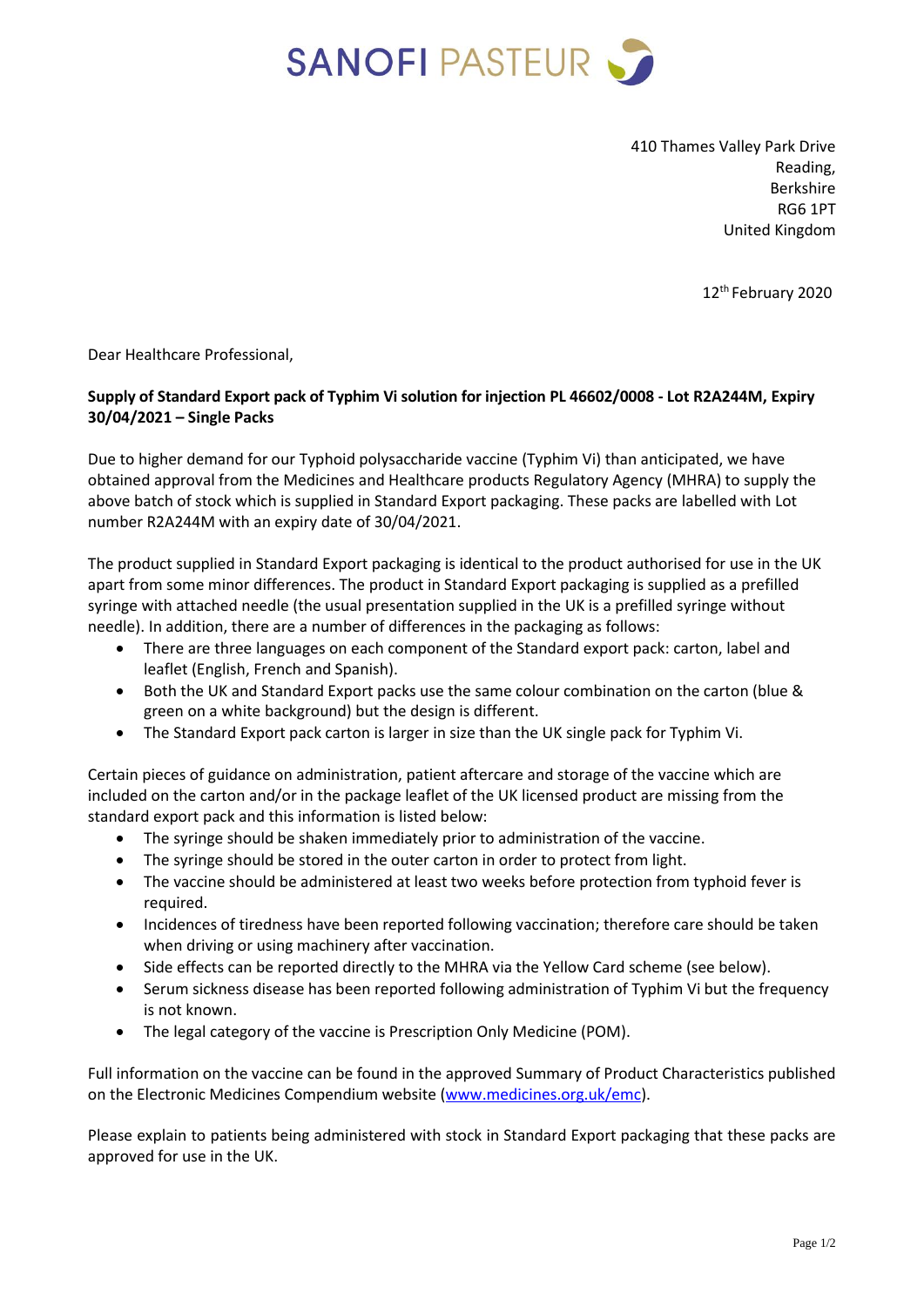

410 Thames Valley Park Drive Reading, Berkshire RG6 1PT United Kingdom

12th February 2020

Dear Healthcare Professional,

## **Supply of Standard Export pack of Typhim Vi solution for injection PL 46602/0008 - Lot R2A244M, Expiry 30/04/2021 – Single Packs**

Due to higher demand for our Typhoid polysaccharide vaccine (Typhim Vi) than anticipated, we have obtained approval from the Medicines and Healthcare products Regulatory Agency (MHRA) to supply the above batch of stock which is supplied in Standard Export packaging. These packs are labelled with Lot number R2A244M with an expiry date of 30/04/2021.

The product supplied in Standard Export packaging is identical to the product authorised for use in the UK apart from some minor differences. The product in Standard Export packaging is supplied as a prefilled syringe with attached needle (the usual presentation supplied in the UK is a prefilled syringe without needle). In addition, there are a number of differences in the packaging as follows:

- There are three languages on each component of the Standard export pack: carton, label and leaflet (English, French and Spanish).
- Both the UK and Standard Export packs use the same colour combination on the carton (blue & green on a white background) but the design is different.
- The Standard Export pack carton is larger in size than the UK single pack for Typhim Vi.

Certain pieces of guidance on administration, patient aftercare and storage of the vaccine which are included on the carton and/or in the package leaflet of the UK licensed product are missing from the standard export pack and this information is listed below:

- The syringe should be shaken immediately prior to administration of the vaccine.
- The syringe should be stored in the outer carton in order to protect from light.
- The vaccine should be administered at least two weeks before protection from typhoid fever is required.
- Incidences of tiredness have been reported following vaccination; therefore care should be taken when driving or using machinery after vaccination.
- Side effects can be reported directly to the MHRA via the Yellow Card scheme (see below).
- Serum sickness disease has been reported following administration of Typhim Vi but the frequency is not known.
- The legal category of the vaccine is Prescription Only Medicine (POM).

Full information on the vaccine can be found in the approved Summary of Product Characteristics published on the Electronic Medicines Compendium website [\(www.medicines.org.uk/emc\)](http://www.medicines.org.uk/emc).

Please explain to patients being administered with stock in Standard Export packaging that these packs are approved for use in the UK.